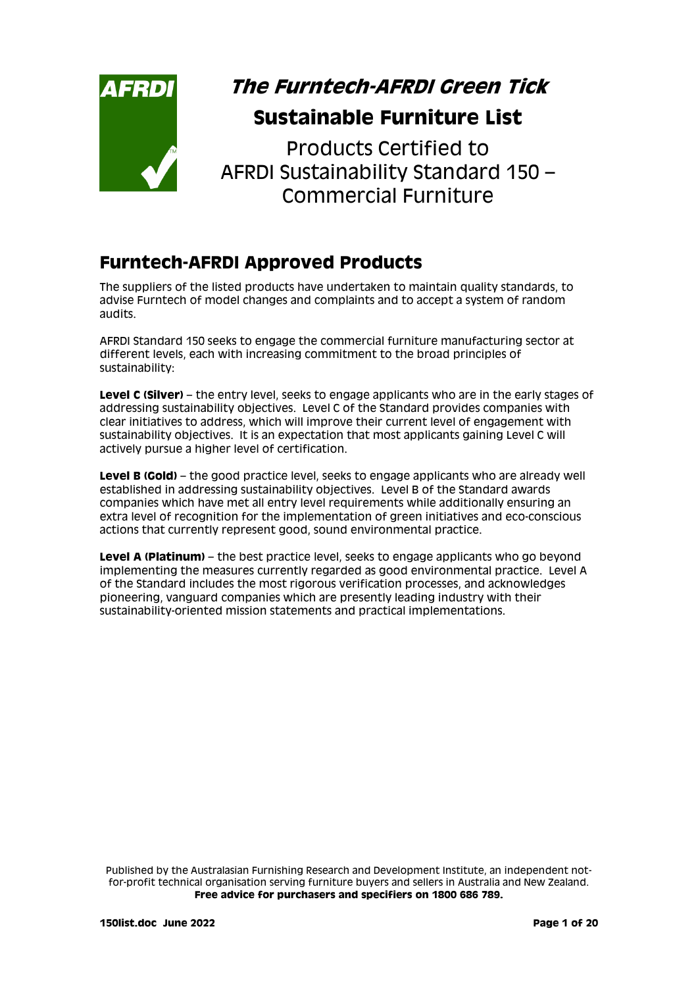

# **The Furntech-AFRDI Green Tick Sustainable Furniture List**

Products Certified to AFRDI Sustainability Standard 150 – Commercial Furniture

# **Furntech-AFRDI Approved Products**

The suppliers of the listed products have undertaken to maintain quality standards, to advise Furntech of model changes and complaints and to accept a system of random audits.

AFRDI Standard 150 seeks to engage the commercial furniture manufacturing sector at different levels, each with increasing commitment to the broad principles of sustainability:

**Level C (Silver)** – the entry level, seeks to engage applicants who are in the early stages of addressing sustainability objectives. Level C of the Standard provides companies with clear initiatives to address, which will improve their current level of engagement with sustainability objectives. It is an expectation that most applicants gaining Level C will actively pursue a higher level of certification.

**Level B (Gold)** – the good practice level, seeks to engage applicants who are already well established in addressing sustainability objectives. Level B of the Standard awards companies which have met all entry level requirements while additionally ensuring an extra level of recognition for the implementation of green initiatives and eco-conscious actions that currently represent good, sound environmental practice.

**Level A (Platinum)** – the best practice level, seeks to engage applicants who go beyond implementing the measures currently regarded as good environmental practice. Level A of the Standard includes the most rigorous verification processes, and acknowledges pioneering, vanguard companies which are presently leading industry with their sustainability-oriented mission statements and practical implementations.

Published by the Australasian Furnishing Research and Development Institute, an independent notfor-profit technical organisation serving furniture buyers and sellers in Australia and New Zealand. **Free advice for purchasers and specifiers on 1800 686 789.**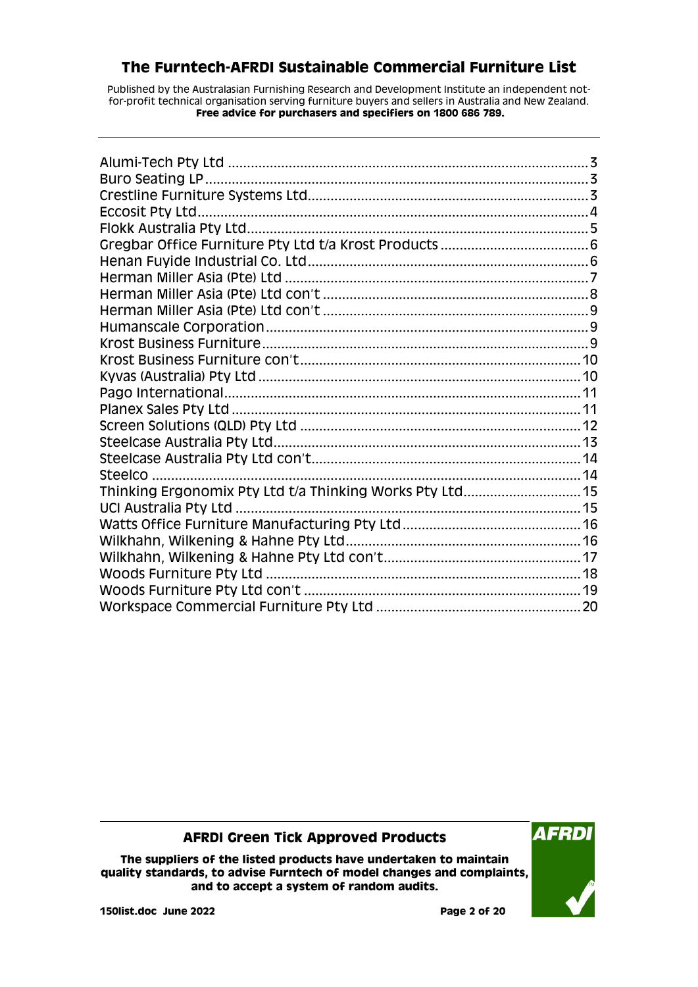Published by the Australasian Furnishing Research and Development Institute an independent notfor-profit technical organisation serving furniture buyers and sellers in Australia and New Zealand. **Free advice for purchasers and specifiers on 1800 686 789.**

### **AFRDI Green Tick Approved Products**

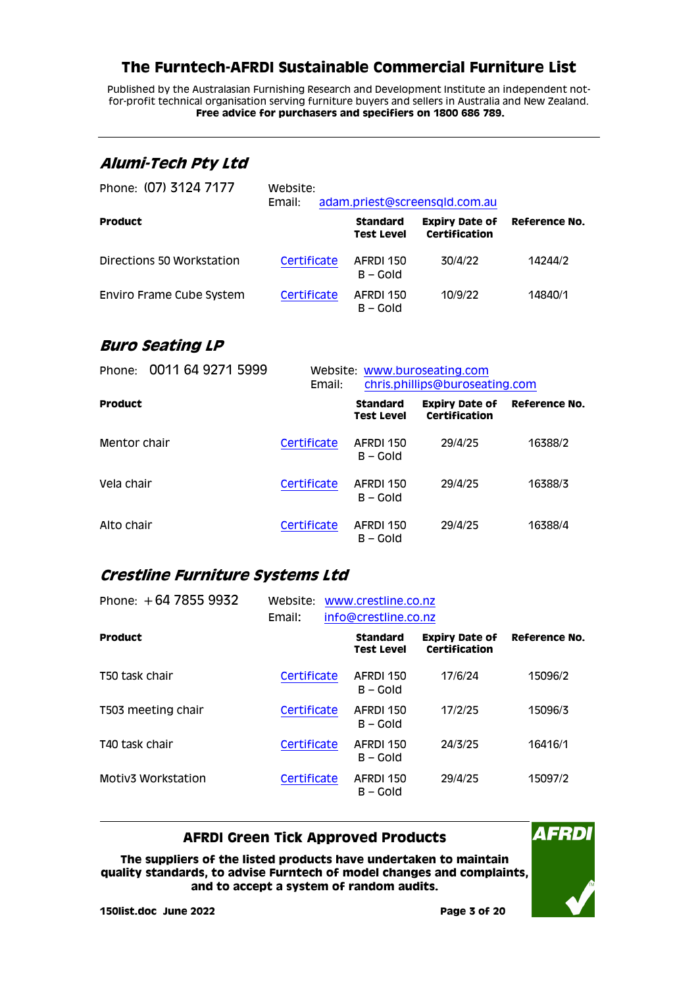Published by the Australasian Furnishing Research and Development Institute an independent notfor-profit technical organisation serving furniture buyers and sellers in Australia and New Zealand. **Free advice for purchasers and specifiers on 1800 686 789.**

### <span id="page-2-0"></span>**Alumi-Tech Pty Ltd**

| Phone: (07) 3124 7177     | Website:<br>Email: |                               | adam.priest@screensqld.com.au          |               |
|---------------------------|--------------------|-------------------------------|----------------------------------------|---------------|
| <b>Product</b>            |                    | <b>Standard</b><br>Test Level | <b>Expiry Date of</b><br>Certification | Reference No. |
| Directions 50 Workstation | Certificate        | AFRDI 150<br>$B - Gold$       | 30/4/22                                | 14244/2       |
| Enviro Frame Cube System  | Certificate        | AFRDI 150<br>B – Gold         | 10/9/22                                | 14840/1       |

### <span id="page-2-1"></span>**Buro Seating LP**

| 0011 64 9271 5999<br>Phone: | Email:      | Website: www.buroseating.com<br>chris.phillips@buroseating.com |                                        |               |
|-----------------------------|-------------|----------------------------------------------------------------|----------------------------------------|---------------|
| <b>Product</b>              |             | <b>Standard</b><br><b>Test Level</b>                           | <b>Expiry Date of</b><br>Certification | Reference No. |
| Mentor chair                | Certificate | AFRDI 150<br>$B - Gold$                                        | 29/4/25                                | 16388/2       |
| Vela chair                  | Certificate | AFRDI 150<br>$B - Gold$                                        | 29/4/25                                | 16388/3       |
| Alto chair                  | Certificate | AFRDI 150<br>B – Gold                                          | 29/4/25                                | 16388/4       |

### <span id="page-2-2"></span>**Crestline Furniture Systems Ltd**

| Phone: $+64$ 7855 9932 | Website:<br>Email: | www.crestline.co.nz<br>info@crestline.co.nz |                                      |                                        |               |
|------------------------|--------------------|---------------------------------------------|--------------------------------------|----------------------------------------|---------------|
| <b>Product</b>         |                    |                                             | <b>Standard</b><br><b>Test Level</b> | <b>Expiry Date of</b><br>Certification | Reference No. |
| T50 task chair         | Certificate        |                                             | AFRDI 150<br>$B - Gold$              | 17/6/24                                | 15096/2       |
| T503 meeting chair     | Certificate        |                                             | AFRDI 150<br>$B - Gold$              | 17/2/25                                | 15096/3       |
| T40 task chair         | Certificate        |                                             | AFRDI 150<br>$B - Gold$              | 24/3/25                                | 16416/1       |
| Motiv3 Workstation     | Certificate        |                                             | AFRDI 150<br>$B - GO$                | 29/4/25                                | 15097/2       |

#### **AFRDI Green Tick Approved Products**

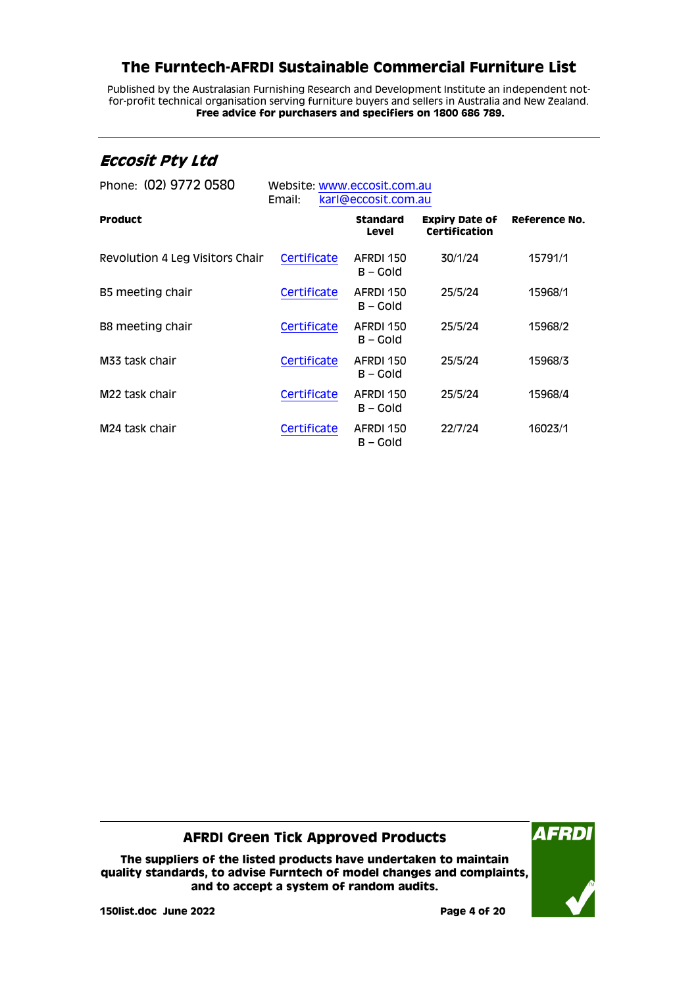Published by the Australasian Furnishing Research and Development Institute an independent notfor-profit technical organisation serving furniture buyers and sellers in Australia and New Zealand. **Free advice for purchasers and specifiers on 1800 686 789.**

### <span id="page-3-0"></span>**Eccosit Pty Ltd**

| Phone: (02) 9772 0580           | Website: www.eccosit.com.au<br>karl@eccosit.com.au<br>Email: |                                 |                                               |               |
|---------------------------------|--------------------------------------------------------------|---------------------------------|-----------------------------------------------|---------------|
| <b>Product</b>                  |                                                              | <b>Standard</b><br><b>Level</b> | <b>Expiry Date of</b><br><b>Certification</b> | Reference No. |
| Revolution 4 Leg Visitors Chair | Certificate                                                  | AFRDI 150<br>$B - GO$           | 30/1/24                                       | 15791/1       |
| B5 meeting chair                | Certificate                                                  | AFRDI 150<br>$B - Gold$         | 25/5/24                                       | 15968/1       |
| B8 meeting chair                | Certificate                                                  | AFRDI 150<br>B – Gold           | 25/5/24                                       | 15968/2       |
| M33 task chair                  | Certificate                                                  | AFRDI 150<br>B – Gold           | 25/5/24                                       | 15968/3       |
| M <sub>22</sub> task chair      | Certificate                                                  | AFRDI 150<br>$B - GO$           | 25/5/24                                       | 15968/4       |
| M <sub>24</sub> task chair      | Certificate                                                  | AFRDI 150<br>B – Gold           | 22/7/24                                       | 16023/1       |

#### **AFRDI Green Tick Approved Products**

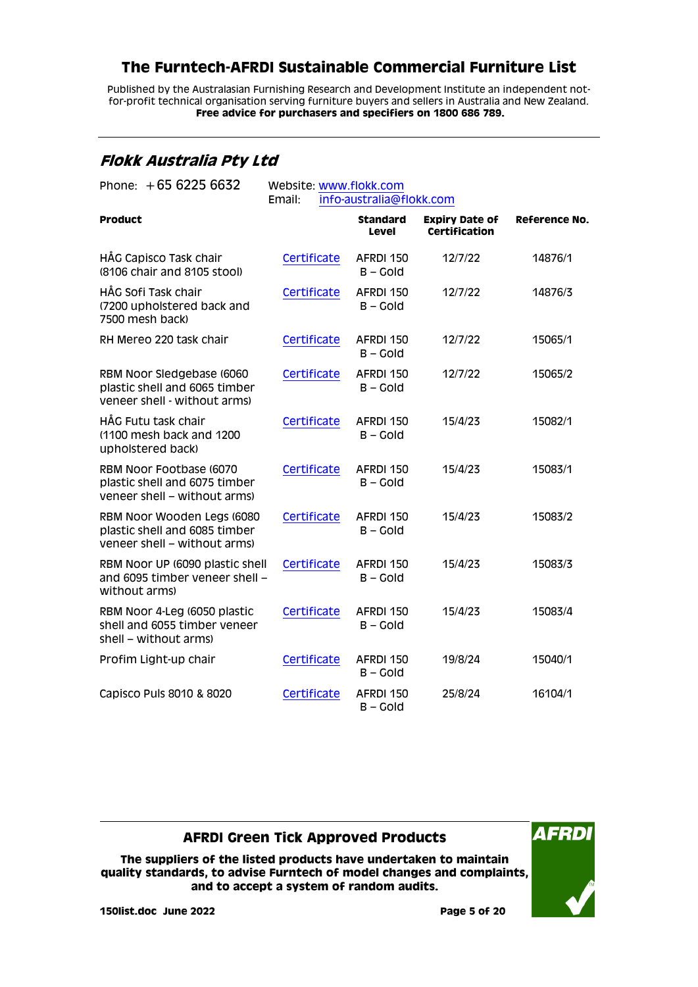Published by the Australasian Furnishing Research and Development Institute an independent notfor-profit technical organisation serving furniture buyers and sellers in Australia and New Zealand. **Free advice for purchasers and specifiers on 1800 686 789.**

### <span id="page-4-0"></span>**Flokk Australia Pty Ltd**

| Phone: $+6562256632$                                                                        | Website: www.flokk.com<br>info-australia@flokk.com |                                 |                                        |                      |
|---------------------------------------------------------------------------------------------|----------------------------------------------------|---------------------------------|----------------------------------------|----------------------|
|                                                                                             | Email:                                             |                                 |                                        |                      |
| <b>Product</b>                                                                              |                                                    | <b>Standard</b><br><b>Level</b> | <b>Expiry Date of</b><br>Certification | <b>Reference No.</b> |
| HÅG Capisco Task chair<br>(8106 chair and 8105 stool)                                       | Certificate                                        | AFRDI 150<br>$B - Gold$         | 12/7/22                                | 14876/1              |
| HÅG Sofi Task chair<br>(7200 upholstered back and<br>7500 mesh back)                        | Certificate                                        | AFRDI 150<br>$B - Gold$         | 12/7/22                                | 14876/3              |
| RH Mereo 220 task chair                                                                     | Certificate                                        | AFRDI 150<br>$B -$ Gold         | 12/7/22                                | 15065/1              |
| RBM Noor Sledgebase (6060<br>plastic shell and 6065 timber<br>veneer shell - without arms)  | Certificate                                        | AFRDI 150<br>$B - Gold$         | 12/7/22                                | 15065/2              |
| HÅG Futu task chair<br>(1100 mesh back and 1200)<br>upholstered back)                       | Certificate                                        | AFRDI 150<br>$B - Gold$         | 15/4/23                                | 15082/1              |
| RBM Noor Footbase (6070<br>plastic shell and 6075 timber<br>veneer shell - without arms)    | Certificate                                        | AFRDI 150<br>$B - Gold$         | 15/4/23                                | 15083/1              |
| RBM Noor Wooden Legs (6080<br>plastic shell and 6085 timber<br>veneer shell - without arms) | Certificate                                        | AFRDI 150<br>$B -$ Gold         | 15/4/23                                | 15083/2              |
| RBM Noor UP (6090 plastic shell<br>and 6095 timber veneer shell -<br>without arms)          | Certificate                                        | AFRDI 150<br>$B -$ Gold         | 15/4/23                                | 15083/3              |
| RBM Noor 4-Leg (6050 plastic<br>shell and 6055 timber veneer<br>shell - without arms)       | Certificate                                        | AFRDI 150<br>$B - Gold$         | 15/4/23                                | 15083/4              |
| Profim Light-up chair                                                                       | Certificate                                        | AFRDI 150<br>$B - Gold$         | 19/8/24                                | 15040/1              |
| Capisco Puls 8010 & 8020                                                                    | Certificate                                        | AFRDI 150<br>$B - Gold$         | 25/8/24                                | 16104/1              |

### **AFRDI Green Tick Approved Products**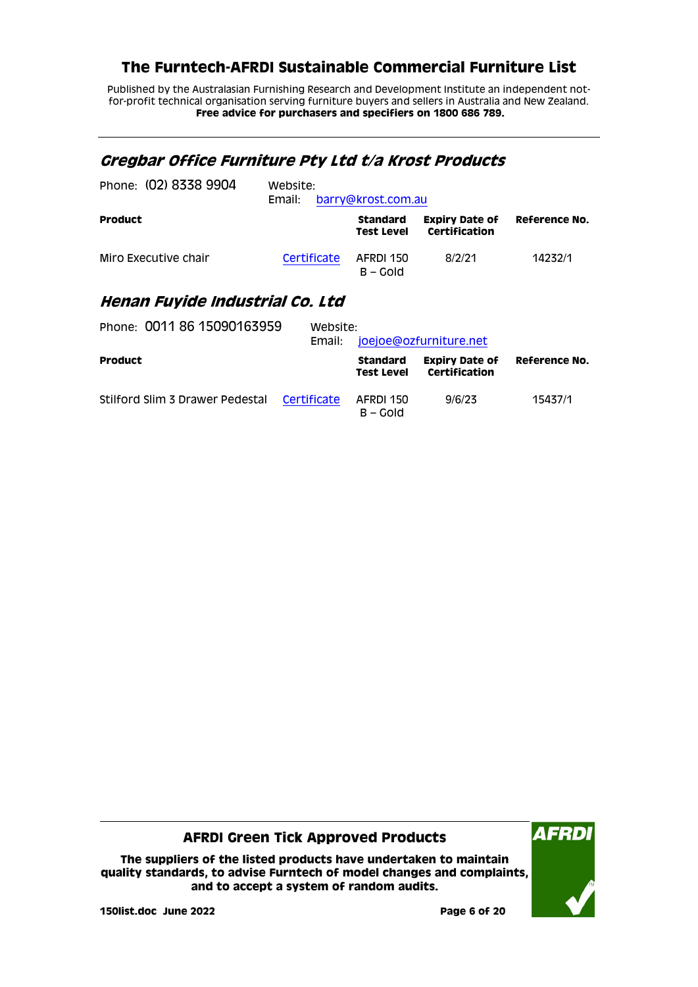Published by the Australasian Furnishing Research and Development Institute an independent notfor-profit technical organisation serving furniture buyers and sellers in Australia and New Zealand. **Free advice for purchasers and specifiers on 1800 686 789.**

# <span id="page-5-0"></span>**Gregbar Office Furniture Pty Ltd t/a Krost Products**

| Phone: (02) 8338 9904 | Website:<br>Email: | barry@krost.com.au                   |                                        |               |
|-----------------------|--------------------|--------------------------------------|----------------------------------------|---------------|
| <b>Product</b>        |                    | <b>Standard</b><br><b>Test Level</b> | <b>Expiry Date of</b><br>Certification | Reference No. |
| Miro Executive chair  | Certificate        | AFRDI 150<br>$B - GO$                | 8/2/21                                 | 14232/1       |

### <span id="page-5-1"></span>**Henan Fuyide Industrial Co. Ltd**

| Phone: 0011 86 15090163959      | Website:<br>Email: | joejoe@ozfurniture.net        |                                        |               |
|---------------------------------|--------------------|-------------------------------|----------------------------------------|---------------|
| <b>Product</b>                  |                    | Standard<br><b>Test Level</b> | <b>Expiry Date of</b><br>Certification | Reference No. |
| Stilford Slim 3 Drawer Pedestal | Certificate        | AFRDI 150<br>$B - Gold$       | 9/6/23                                 | 15437/1       |

#### **AFRDI Green Tick Approved Products**

**The suppliers of the listed products have undertaken to maintain quality standards, to advise Furntech of model changes and complaints, and to accept a system of random audits.**



**150list.doc June 2022 Page 6 of 20**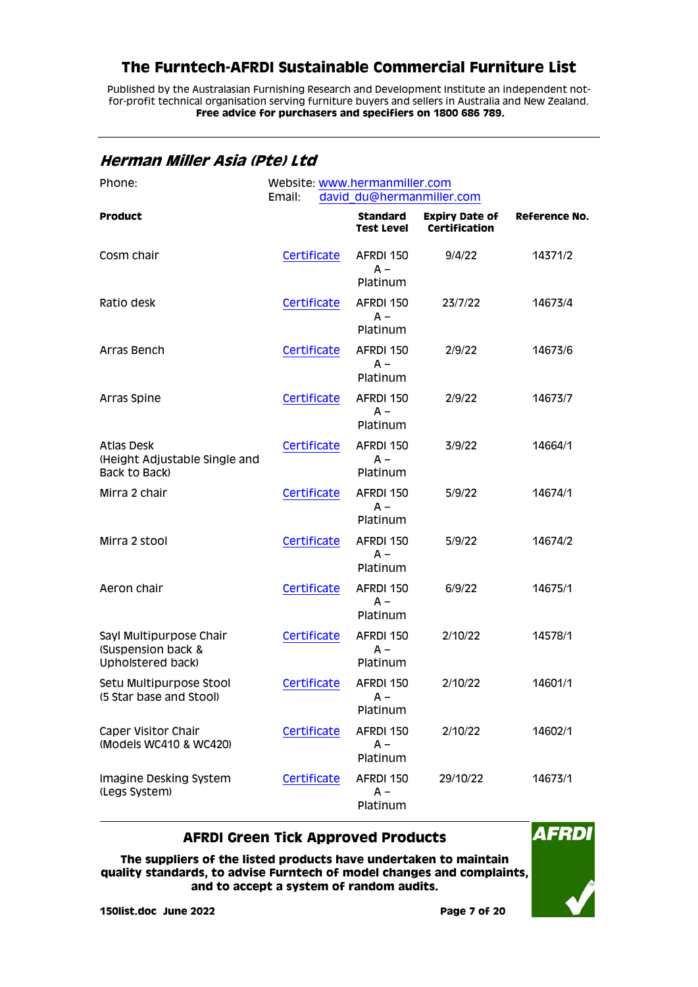Published by the Australasian Furnishing Research and Development Institute an independent notfor-profit technical organisation serving furniture buyers and sellers in Australia and New Zealand. **Free advice for purchasers and specifiers on 1800 686 789.**

<span id="page-6-0"></span>**Herman Miller Asia (Pte) Ltd**

| Phone:                                                              | Website: www.hermanmiller.com<br>david du@hermanmiller.com<br>Email: |                                      |                                               |                      |
|---------------------------------------------------------------------|----------------------------------------------------------------------|--------------------------------------|-----------------------------------------------|----------------------|
| <b>Product</b>                                                      |                                                                      | <b>Standard</b><br><b>Test Level</b> | <b>Expiry Date of</b><br><b>Certification</b> | <b>Reference No.</b> |
| Cosm chair                                                          | Certificate                                                          | AFRDI 150<br>$A -$<br>Platinum       | 9/4/22                                        | 14371/2              |
| Ratio desk                                                          | Certificate                                                          | AFRDI 150<br>$A -$<br>Platinum       | 23/7/22                                       | 14673/4              |
| Arras Bench                                                         | Certificate                                                          | AFRDI 150<br>$A -$<br>Platinum       | 2/9/22                                        | 14673/6              |
| Arras Spine                                                         | Certificate                                                          | AFRDI 150<br>$A -$<br>Platinum       | 2/9/22                                        | 14673/7              |
| <b>Atlas Desk</b><br>(Height Adjustable Single and<br>Back to Back) | Certificate                                                          | AFRDI 150<br>$A -$<br>Platinum       | 3/9/22                                        | 14664/1              |
| Mirra 2 chair                                                       | Certificate                                                          | AFRDI 150<br>$A -$<br>Platinum       | 5/9/22                                        | 14674/1              |
| Mirra 2 stool                                                       | Certificate                                                          | AFRDI 150<br>$A -$<br>Platinum       | 5/9/22                                        | 14674/2              |
| Aeron chair                                                         | Certificate                                                          | AFRDI 150<br>$A -$<br>Platinum       | 6/9/22                                        | 14675/1              |
| Sayl Multipurpose Chair<br>(Suspension back &<br>Upholstered back)  | Certificate                                                          | AFRDI 150<br>$A -$<br>Platinum       | 2/10/22                                       | 14578/1              |
| Setu Multipurpose Stool<br>(5 Star base and Stool)                  | Certificate                                                          | AFRDI 150<br>$A -$<br>Platinum       | 2/10/22                                       | 14601/1              |
| Caper Visitor Chair<br>(Models WC410 & WC420)                       | Certificate                                                          | AFRDI 150<br>A –<br>Platinum         | 2/10/22                                       | 14602/1              |
| Imagine Desking System<br>(Legs System)                             | Certificate                                                          | AFRDI 150<br>$A -$<br>Platinum       | 29/10/22                                      | 14673/1              |

#### **AFRDI Green Tick Approved Products**

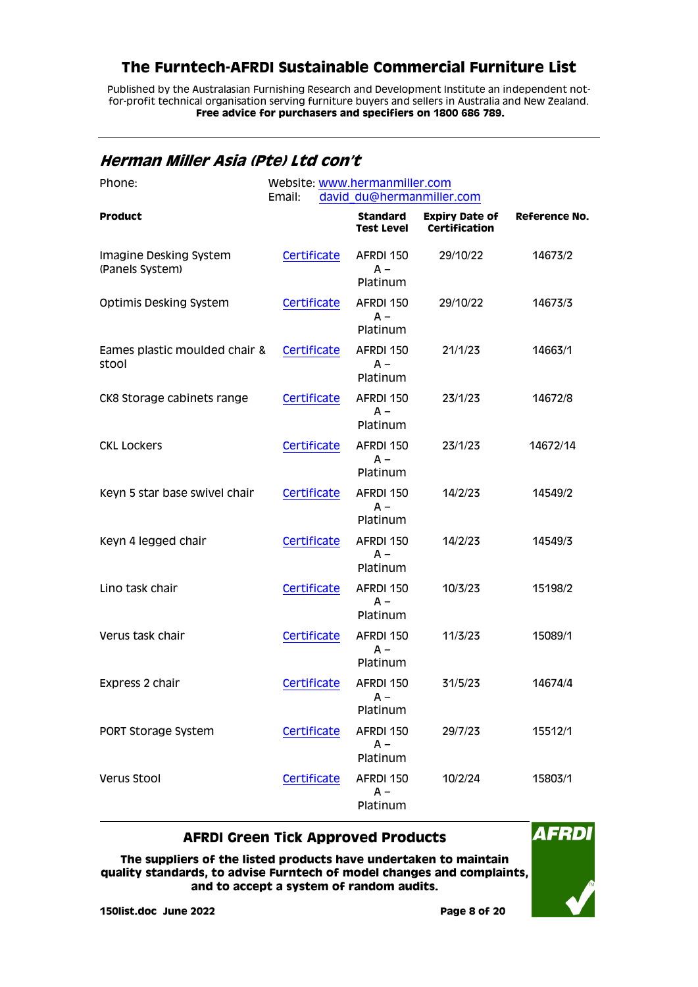Published by the Australasian Furnishing Research and Development Institute an independent notfor-profit technical organisation serving furniture buyers and sellers in Australia and New Zealand. **Free advice for purchasers and specifiers on 1800 686 789.**

#### <span id="page-7-0"></span>**Herman Miller Asia (Pte) Ltd con't**

| Phone:                                    | Website: www.hermanmiller.com<br>david du@hermanmiller.com<br>Email: |                                      |                                        |               |
|-------------------------------------------|----------------------------------------------------------------------|--------------------------------------|----------------------------------------|---------------|
| <b>Product</b>                            |                                                                      | <b>Standard</b><br><b>Test Level</b> | <b>Expiry Date of</b><br>Certification | Reference No. |
| Imagine Desking System<br>(Panels System) | Certificate                                                          | AFRDI 150<br>$A -$<br>Platinum       | 29/10/22                               | 14673/2       |
| <b>Optimis Desking System</b>             | Certificate                                                          | AFRDI 150<br>$A -$<br>Platinum       | 29/10/22                               | 14673/3       |
| Eames plastic moulded chair &<br>stool    | Certificate                                                          | AFRDI 150<br>$A -$<br>Platinum       | 21/1/23                                | 14663/1       |
| CK8 Storage cabinets range                | Certificate                                                          | AFRDI 150<br>$A -$<br>Platinum       | 23/1/23                                | 14672/8       |
| <b>CKL LOCKERS</b>                        | Certificate                                                          | AFRDI 150<br>$A -$<br>Platinum       | 23/1/23                                | 14672/14      |
| Keyn 5 star base swivel chair             | Certificate                                                          | AFRDI 150<br>$A -$<br>Platinum       | 14/2/23                                | 14549/2       |
| Keyn 4 legged chair                       | Certificate                                                          | AFRDI 150<br>$A -$<br>Platinum       | 14/2/23                                | 14549/3       |
| Lino task chair                           | Certificate                                                          | AFRDI 150<br>$A -$<br>Platinum       | 10/3/23                                | 15198/2       |
| Verus task chair                          | Certificate                                                          | AFRDI 150<br>$A -$<br>Platinum       | 11/3/23                                | 15089/1       |
| Express 2 chair                           | Certificate                                                          | AFRDI 150<br>A –<br>Platinum         | 31/5/23                                | 14674/4       |
| PORT Storage System                       | Certificate                                                          | AFRDI 150<br>A –<br>Platinum         | 29/7/23                                | 15512/1       |
| Verus Stool                               | Certificate                                                          | AFRDI 150<br>A –<br>Platinum         | 10/2/24                                | 15803/1       |

#### **AFRDI Green Tick Approved Products**

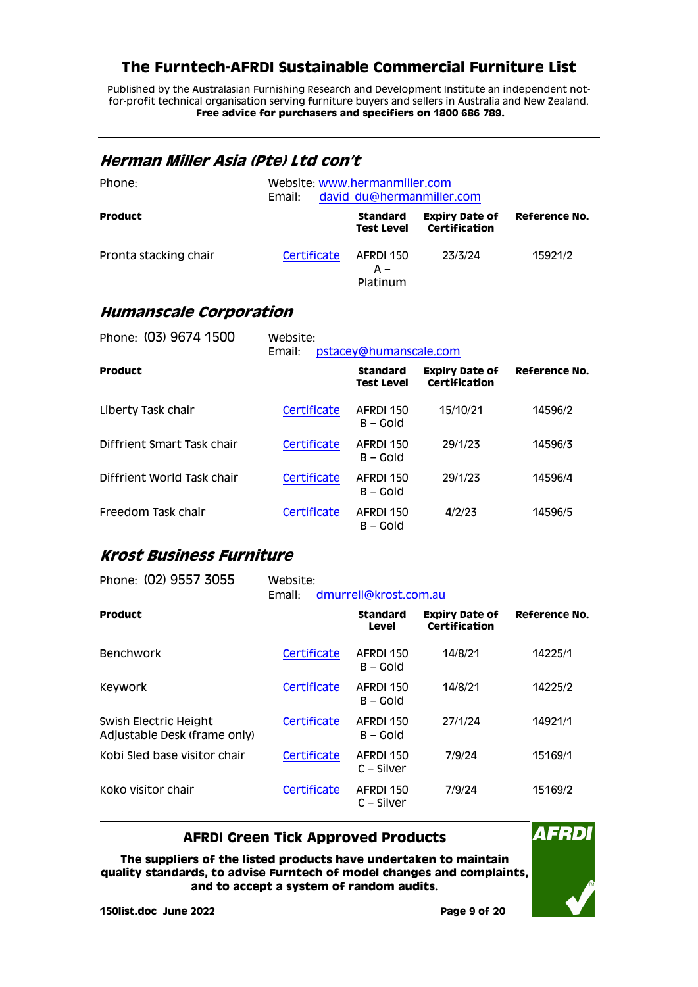Published by the Australasian Furnishing Research and Development Institute an independent notfor-profit technical organisation serving furniture buyers and sellers in Australia and New Zealand. **Free advice for purchasers and specifiers on 1800 686 789.**

#### <span id="page-8-0"></span>**Herman Miller Asia (Pte) Ltd con't**

| Phone:                | Email:      | Website: www.hermanmiller.com<br>david du@hermanmiller.com |                                        |               |
|-----------------------|-------------|------------------------------------------------------------|----------------------------------------|---------------|
| <b>Product</b>        |             | <b>Standard</b><br><b>Test Level</b>                       | <b>Expiry Date of</b><br>Certification | Reference No. |
| Pronta stacking chair | Certificate | AFRDI 150<br>A –<br>Platinum                               | 23/3/24                                | 15921/2       |

### <span id="page-8-1"></span>**Humanscale Corporation**

| Phone: (03) 9674 1500      | Website:<br>pstacey@humanscale.com<br>Email: |                                      |                                        |               |  |
|----------------------------|----------------------------------------------|--------------------------------------|----------------------------------------|---------------|--|
| <b>Product</b>             |                                              | <b>Standard</b><br><b>Test Level</b> | <b>Expiry Date of</b><br>Certification | Reference No. |  |
| Liberty Task chair         | Certificate                                  | AFRDI 150<br>$B - Gold$              | 15/10/21                               | 14596/2       |  |
| Diffrient Smart Task chair | Certificate                                  | AFRDI 150<br>$B - Gold$              | 29/1/23                                | 14596/3       |  |
| Diffrient World Task chair | Certificate                                  | AFRDI 150<br>$B - Gold$              | 29/1/23                                | 14596/4       |  |
| Freedom Task chair         | Certificate                                  | AFRDI 150<br>B – Gold                | 4/2/23                                 | 14596/5       |  |

### <span id="page-8-2"></span>**Krost Business Furniture**

| Phone: (02) 9557 3055                                 | Website:<br>dmurrell@krost.com.au<br>Email: |                           |                                        |                      |  |
|-------------------------------------------------------|---------------------------------------------|---------------------------|----------------------------------------|----------------------|--|
| <b>Product</b>                                        |                                             | <b>Standard</b><br>Level  | <b>Expiry Date of</b><br>Certification | <b>Reference No.</b> |  |
| <b>Benchwork</b>                                      | Certificate                                 | AFRDI 150<br>B – Gold     | 14/8/21                                | 14225/1              |  |
| Keywork                                               | Certificate                                 | AFRDI 150<br>$B - Gold$   | 14/8/21                                | 14225/2              |  |
| Swish Electric Height<br>Adjustable Desk (frame only) | Certificate                                 | AFRDI 150<br>B – Gold     | 27/1/24                                | 14921/1              |  |
| Kobi Sled base visitor chair                          | Certificate                                 | AFRDI 150<br>$C -$ Silver | 7/9/24                                 | 15169/1              |  |
| Koko visitor chair                                    | Certificate                                 | AFRDI 150<br>$C -$ Silver | 7/9/24                                 | 15169/2              |  |

### **AFRDI Green Tick Approved Products**

**The suppliers of the listed products have undertaken to maintain quality standards, to advise Furntech of model changes and complaints, and to accept a system of random audits.**

**AFRDI**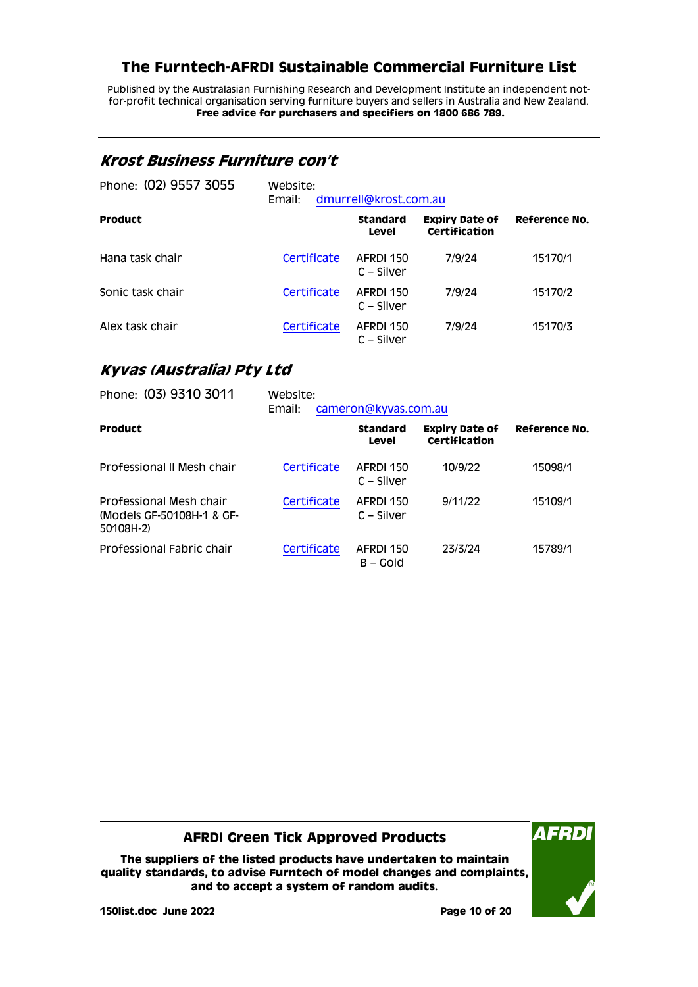Published by the Australasian Furnishing Research and Development Institute an independent notfor-profit technical organisation serving furniture buyers and sellers in Australia and New Zealand. **Free advice for purchasers and specifiers on 1800 686 789.**

### <span id="page-9-0"></span>**Krost Business Furniture con't**

| Phone: (02) 9557 3055 | Website:<br>dmurrell@krost.com.au<br>Email: |                           |                                        |               |
|-----------------------|---------------------------------------------|---------------------------|----------------------------------------|---------------|
| <b>Product</b>        |                                             | <b>Standard</b><br>Level  | <b>Expiry Date of</b><br>Certification | Reference No. |
| Hana task chair       | Certificate                                 | AFRDI 150<br>$C - Silver$ | 7/9/24                                 | 15170/1       |
| Sonic task chair      | Certificate                                 | AFRDI 150<br>$C - Silver$ | 7/9/24                                 | 15170/2       |
| Alex task chair       | Certificate                                 | AFRDI 150<br>C – Silver   | 7/9/24                                 | 15170/3       |

### <span id="page-9-1"></span>**Kyvas (Australia) Pty Ltd**

| Phone: (03) 9310 3011                                             | Website:<br>Email:<br>cameron@kyvas.com.au |                           |                                        |                      |
|-------------------------------------------------------------------|--------------------------------------------|---------------------------|----------------------------------------|----------------------|
| <b>Product</b>                                                    |                                            | <b>Standard</b><br>Level  | <b>Expiry Date of</b><br>Certification | <b>Reference No.</b> |
| Professional II Mesh chair                                        | Certificate                                | AFRDI 150<br>$C -$ Silver | 10/9/22                                | 15098/1              |
| Professional Mesh chair<br>(Models GF-50108H-1 & GF-<br>50108H-2) | Certificate                                | AFRDI 150<br>$C -$ Silver | 9/11/22                                | 15109/1              |
| Professional Fabric chair                                         | Certificate                                | AFRDI 150<br>B – Gold     | 23/3/24                                | 15789/1              |

#### **AFRDI Green Tick Approved Products**

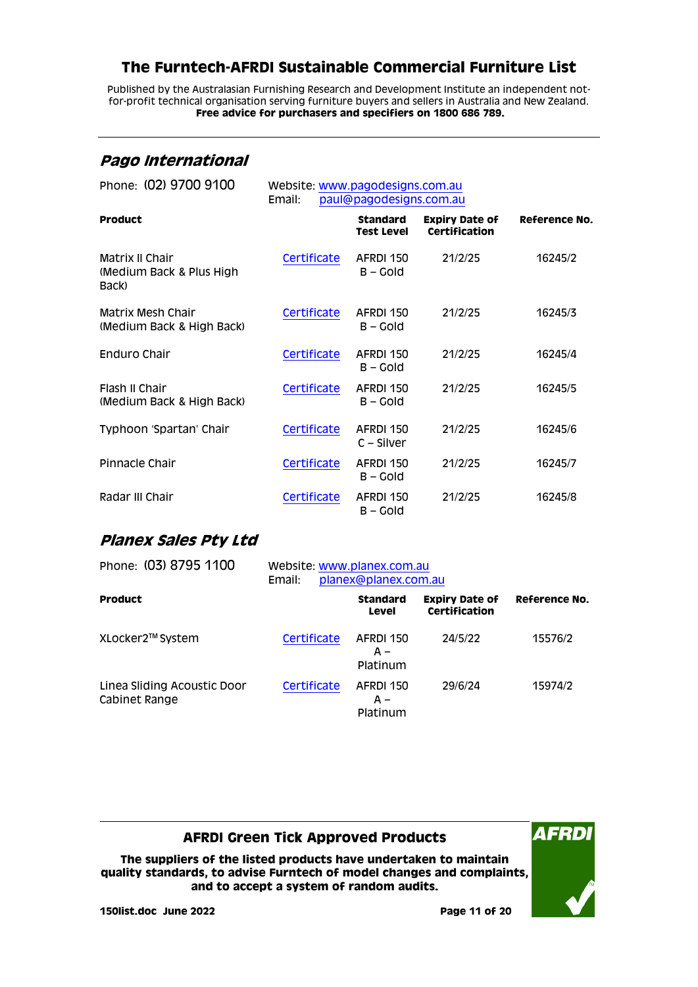Published by the Australasian Furnishing Research and Development Institute an independent notfor-profit technical organisation serving furniture buyers and sellers in Australia and New Zealand. **Free advice for purchasers and specifiers on 1800 686 789.**

## <span id="page-10-0"></span>**Pago International**

| Phone: (02) 9700 9100                                | Website: www.pagodesigns.com.au<br>paul@pagodesigns.com.au<br>Email: |                               |                                               |               |
|------------------------------------------------------|----------------------------------------------------------------------|-------------------------------|-----------------------------------------------|---------------|
| <b>Product</b>                                       |                                                                      | Standard<br><b>Test Level</b> | <b>Expiry Date of</b><br><b>Certification</b> | Reference No. |
| Matrix II Chair<br>(Medium Back & Plus High<br>Back) | Certificate                                                          | AFRDI 150<br>B – Gold         | 21/2/25                                       | 16245/2       |
| Matrix Mesh Chair<br>(Medium Back & High Back)       | Certificate                                                          | AFRDI 150<br>B – Gold         | 21/2/25                                       | 16245/3       |
| Enduro Chair                                         | Certificate                                                          | AFRDI 150<br>$B - Gold$       | 21/2/25                                       | 16245/4       |
| Flash II Chair<br>(Medium Back & High Back)          | Certificate                                                          | AFRDI 150<br>B – Gold         | 21/2/25                                       | 16245/5       |
| Typhoon 'Spartan' Chair                              | Certificate                                                          | AFRDI 150<br>$C -$ Silver     | 21/2/25                                       | 16245/6       |
| Pinnacle Chair                                       | Certificate                                                          | AFRDI 150<br>B – Gold         | 21/2/25                                       | 16245/7       |
| Radar III Chair                                      | Certificate                                                          | AFRDI 150<br>B – Gold         | 21/2/25                                       | 16245/8       |

# <span id="page-10-1"></span>**Planex Sales Pty Ltd**

| Phone: (03) 8795 1100                        | Website: www.planex.com.au<br>planex@planex.com.au<br>Email: |                              |                                        |               |
|----------------------------------------------|--------------------------------------------------------------|------------------------------|----------------------------------------|---------------|
| <b>Product</b>                               |                                                              | <b>Standard</b><br>Level     | <b>Expiry Date of</b><br>Certification | Reference No. |
| XLocker2™ System                             | Certificate                                                  | AFRDI 150<br>A –<br>Platinum | 24/5/22                                | 15576/2       |
| Linea Sliding Acoustic Door<br>Cabinet Range | Certificate                                                  | AFRDI 150<br>A –<br>Platinum | 29/6/24                                | 15974/2       |

### **AFRDI Green Tick Approved Products**

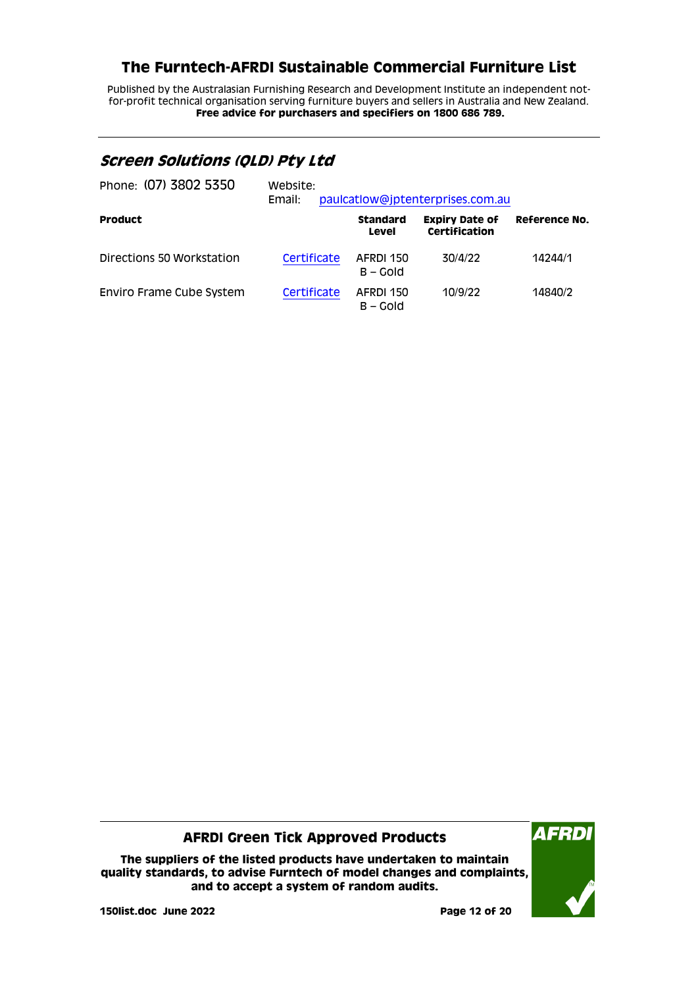Published by the Australasian Furnishing Research and Development Institute an independent notfor-profit technical organisation serving furniture buyers and sellers in Australia and New Zealand. **Free advice for purchasers and specifiers on 1800 686 789.**

### <span id="page-11-0"></span>**Screen Solutions (QLD) Pty Ltd**

| Phone: (07) 3802 5350     | Website:<br>Email: |                          | paulcatlow@jptenterprises.com.au       |               |
|---------------------------|--------------------|--------------------------|----------------------------------------|---------------|
| <b>Product</b>            |                    | <b>Standard</b><br>Level | <b>Expiry Date of</b><br>Certification | Reference No. |
| Directions 50 Workstation | Certificate        | AFRDI 150<br>$B - Gold$  | 30/4/22                                | 14244/1       |
| Enviro Frame Cube System  | Certificate        | AFRDI 150<br>$B - Gold$  | 10/9/22                                | 14840/2       |

#### **AFRDI Green Tick Approved Products**

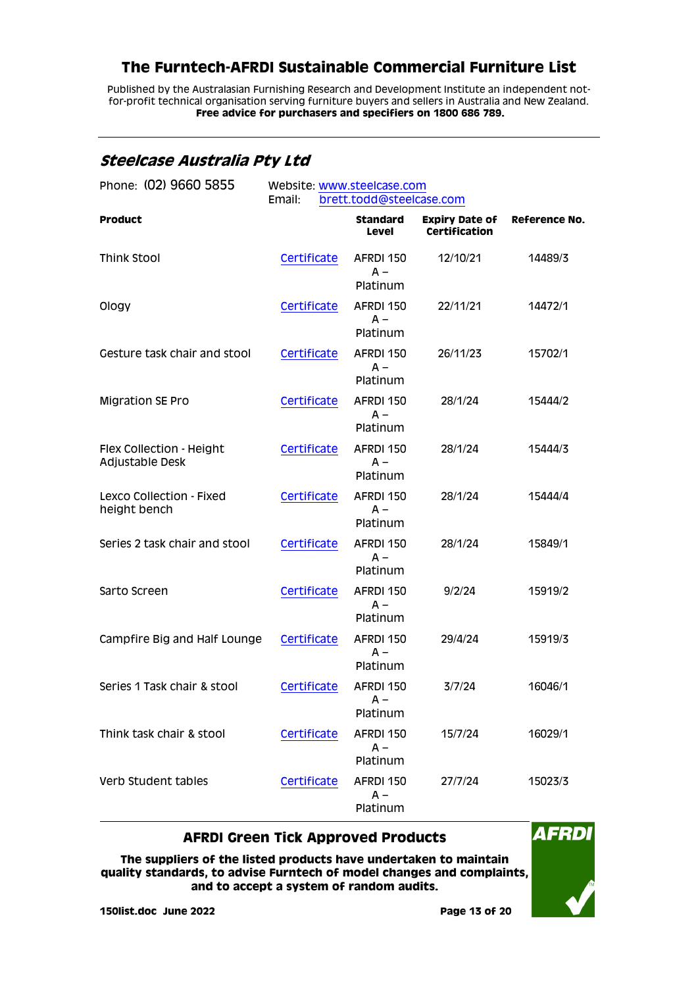Published by the Australasian Furnishing Research and Development Institute an independent notfor-profit technical organisation serving furniture buyers and sellers in Australia and New Zealand. **Free advice for purchasers and specifiers on 1800 686 789.**

### <span id="page-12-0"></span>**Steelcase Australia Pty Ltd**

| Phone: (02) 9660 5855                       | Website: www.steelcase.com<br>Email:<br>brett.todd@steelcase.com |                                 |                                               |               |
|---------------------------------------------|------------------------------------------------------------------|---------------------------------|-----------------------------------------------|---------------|
| <b>Product</b>                              |                                                                  | <b>Standard</b><br><b>Level</b> | <b>Expiry Date of</b><br><b>Certification</b> | Reference No. |
| <b>Think Stool</b>                          | Certificate                                                      | AFRDI 150<br>$A -$<br>Platinum  | 12/10/21                                      | 14489/3       |
| Ology                                       | Certificate                                                      | AFRDI 150<br>$A -$<br>Platinum  | 22/11/21                                      | 14472/1       |
| Gesture task chair and stool                | Certificate                                                      | AFRDI 150<br>$A -$<br>Platinum  | 26/11/23                                      | 15702/1       |
| <b>Migration SE Pro</b>                     | Certificate                                                      | AFRDI 150<br>$A -$<br>Platinum  | 28/1/24                                       | 15444/2       |
| Flex Collection - Height<br>Adjustable Desk | Certificate                                                      | AFRDI 150<br>$A -$<br>Platinum  | 28/1/24                                       | 15444/3       |
| Lexco Collection - Fixed<br>height bench    | Certificate                                                      | AFRDI 150<br>$A -$<br>Platinum  | 28/1/24                                       | 15444/4       |
| Series 2 task chair and stool               | Certificate                                                      | AFRDI 150<br>$A -$<br>Platinum  | 28/1/24                                       | 15849/1       |
| Sarto Screen                                | Certificate                                                      | AFRDI 150<br>$A -$<br>Platinum  | 9/2/24                                        | 15919/2       |
| Campfire Big and Half Lounge                | Certificate                                                      | AFRDI 150<br>$A -$<br>Platinum  | 29/4/24                                       | 15919/3       |
| Series 1 Task chair & stool                 | Certificate                                                      | AFRDI 150<br>A –<br>Platinum    | 3/7/24                                        | 16046/1       |
| Think task chair & stool                    | Certificate                                                      | AFRDI 150<br>$A -$<br>Platinum  | 15/7/24                                       | 16029/1       |
| Verb Student tables                         | Certificate                                                      | AFRDI 150<br>$A -$<br>Platinum  | 27/7/24                                       | 15023/3       |

#### **AFRDI Green Tick Approved Products**

**The suppliers of the listed products have undertaken to maintain quality standards, to advise Furntech of model changes and complaints, and to accept a system of random audits.**



**AFRDI**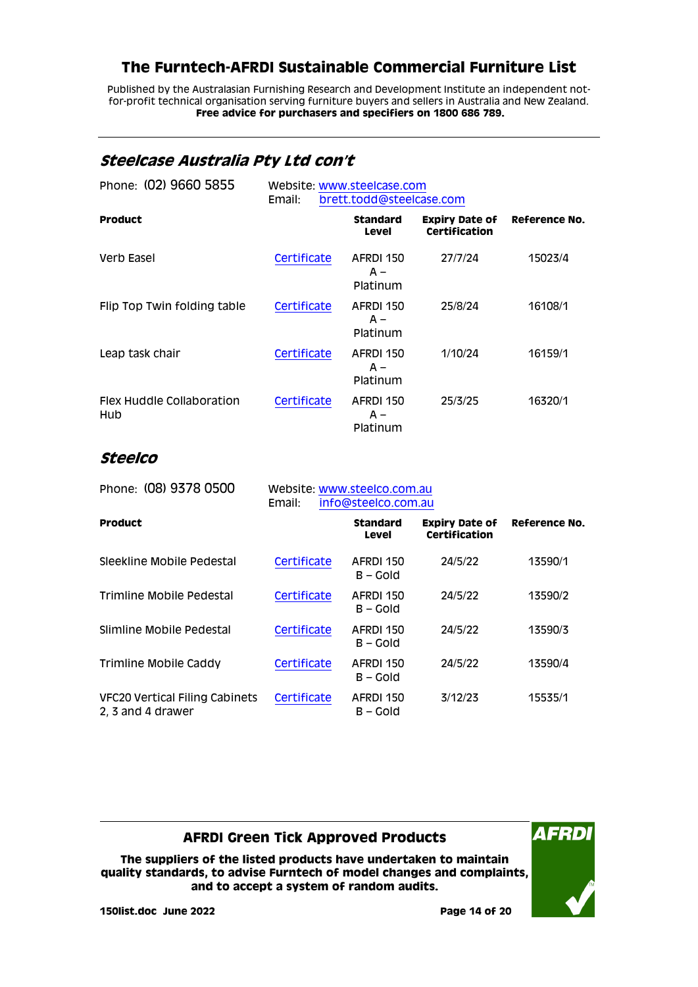Published by the Australasian Furnishing Research and Development Institute an independent notfor-profit technical organisation serving furniture buyers and sellers in Australia and New Zealand. **Free advice for purchasers and specifiers on 1800 686 789.**

### <span id="page-13-0"></span>**Steelcase Australia Pty Ltd con't**

| Phone: (02) 9660 5855            | Website: www.steelcase.com<br>brett.todd@steelcase.com<br>Email: |                                |                                               |               |
|----------------------------------|------------------------------------------------------------------|--------------------------------|-----------------------------------------------|---------------|
| <b>Product</b>                   |                                                                  | <b>Standard</b><br>Level       | <b>Expiry Date of</b><br><b>Certification</b> | Reference No. |
| Verb Easel                       | Certificate                                                      | AFRDI 150<br>$A -$<br>Platinum | 27/7/24                                       | 15023/4       |
| Flip Top Twin folding table      | Certificate                                                      | AFRDI 150<br>$A -$<br>Platinum | 25/8/24                                       | 16108/1       |
| Leap task chair                  | Certificate                                                      | AFRDI 150<br>$A -$<br>Platinum | 1/10/24                                       | 16159/1       |
| Flex Huddle Collaboration<br>Hub | Certificate                                                      | AFRDI 150<br>$A -$<br>Platinum | 25/3/25                                       | 16320/1       |

### <span id="page-13-1"></span>**Steelco**

| Phone: (08) 9378 0500                                      | Website: www.steelco.com.au<br>Email:<br>info@steelco.com.au |                          |                                               |               |
|------------------------------------------------------------|--------------------------------------------------------------|--------------------------|-----------------------------------------------|---------------|
| <b>Product</b>                                             |                                                              | <b>Standard</b><br>Level | <b>Expiry Date of</b><br><b>Certification</b> | Reference No. |
| Sleekline Mobile Pedestal                                  | Certificate                                                  | AFRDI 150<br>$B - Gold$  | 24/5/22                                       | 13590/1       |
| Trimline Mobile Pedestal                                   | Certificate                                                  | AFRDI 150<br>$B - Gold$  | 24/5/22                                       | 13590/2       |
| Slimline Mobile Pedestal                                   | Certificate                                                  | AFRDI 150<br>$B - Gold$  | 24/5/22                                       | 13590/3       |
| Trimline Mobile Caddy                                      | Certificate                                                  | AFRDI 150<br>B – Gold    | 24/5/22                                       | 13590/4       |
| <b>VFC20 Vertical Filing Cabinets</b><br>2, 3 and 4 drawer | Certificate                                                  | AFRDI 150<br>$B - Gold$  | 3/12/23                                       | 15535/1       |

### **AFRDI Green Tick Approved Products**

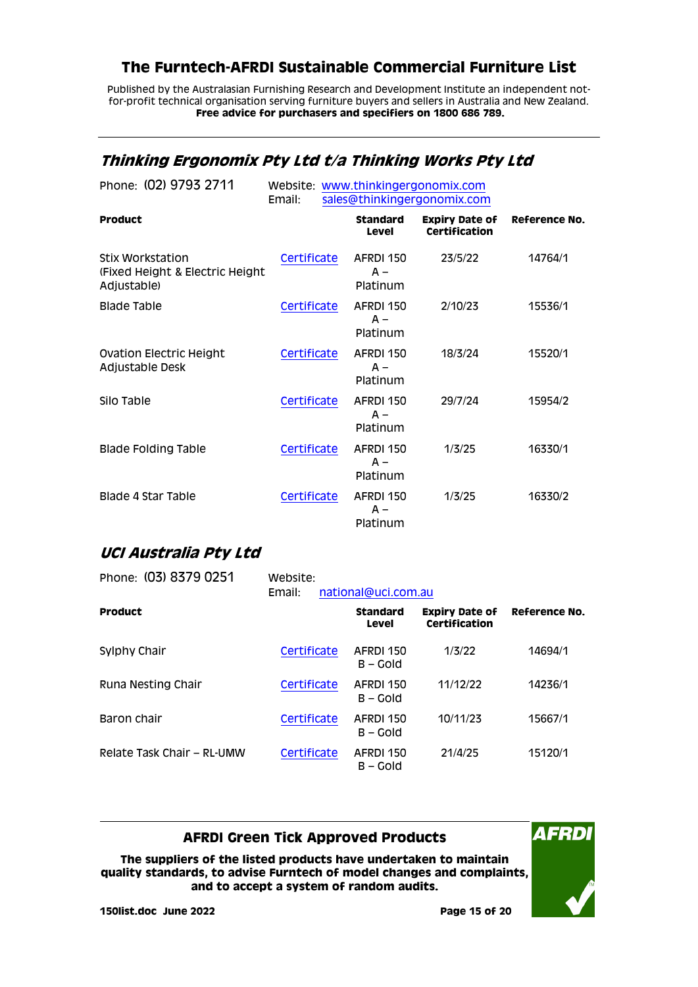Published by the Australasian Furnishing Research and Development Institute an independent notfor-profit technical organisation serving furniture buyers and sellers in Australia and New Zealand. **Free advice for purchasers and specifiers on 1800 686 789.**

### <span id="page-14-0"></span>**Thinking Ergonomix Pty Ltd t/a Thinking Works Pty Ltd**

| Phone: (02) 9793 2711                                                      | Website: www.thinkingergonomix.com<br>Email: |                                | sales@thinkingergonomix.com                   |               |
|----------------------------------------------------------------------------|----------------------------------------------|--------------------------------|-----------------------------------------------|---------------|
| <b>Product</b>                                                             |                                              | <b>Standard</b><br>Level       | <b>Expiry Date of</b><br><b>Certification</b> | Reference No. |
| <b>Stix Workstation</b><br>(Fixed Height & Electric Height)<br>Adjustable) | Certificate                                  | AFRDI 150<br>$A -$<br>Platinum | 23/5/22                                       | 14764/1       |
| <b>Blade Table</b>                                                         | Certificate                                  | AFRDI 150<br>$A -$<br>Platinum | 2/10/23                                       | 15536/1       |
| Ovation Electric Height<br>Adjustable Desk                                 | Certificate                                  | AFRDI 150<br>$A -$<br>Platinum | 18/3/24                                       | 15520/1       |
| Silo Table                                                                 | Certificate                                  | AFRDI 150<br>$A -$<br>Platinum | 29/7/24                                       | 15954/2       |
| <b>Blade Folding Table</b>                                                 | Certificate                                  | AFRDI 150<br>$A -$<br>Platinum | 1/3/25                                        | 16330/1       |
| Blade 4 Star Table                                                         | Certificate                                  | AFRDI 150<br>$A -$<br>Platinum | 1/3/25                                        | 16330/2       |

### <span id="page-14-1"></span>**UCI Australia Pty Ltd**

| Phone: (03) 8379 0251      | Website:<br>Email: | national@uci.com.au      |                                               |               |
|----------------------------|--------------------|--------------------------|-----------------------------------------------|---------------|
| <b>Product</b>             |                    | <b>Standard</b><br>Level | <b>Expiry Date of</b><br><b>Certification</b> | Reference No. |
| Sylphy Chair               | Certificate        | AFRDI 150<br>$B - Gold$  | 1/3/22                                        | 14694/1       |
| Runa Nesting Chair         | Certificate        | AFRDI 150<br>$B - Gold$  | 11/12/22                                      | 14236/1       |
| Baron chair                | Certificate        | AFRDI 150<br>B – Gold    | 10/11/23                                      | 15667/1       |
| Relate Task Chair - RL-UMW | Certificate        | AFRDI 150<br>B – Gold    | 21/4/25                                       | 15120/1       |

#### **AFRDI Green Tick Approved Products**

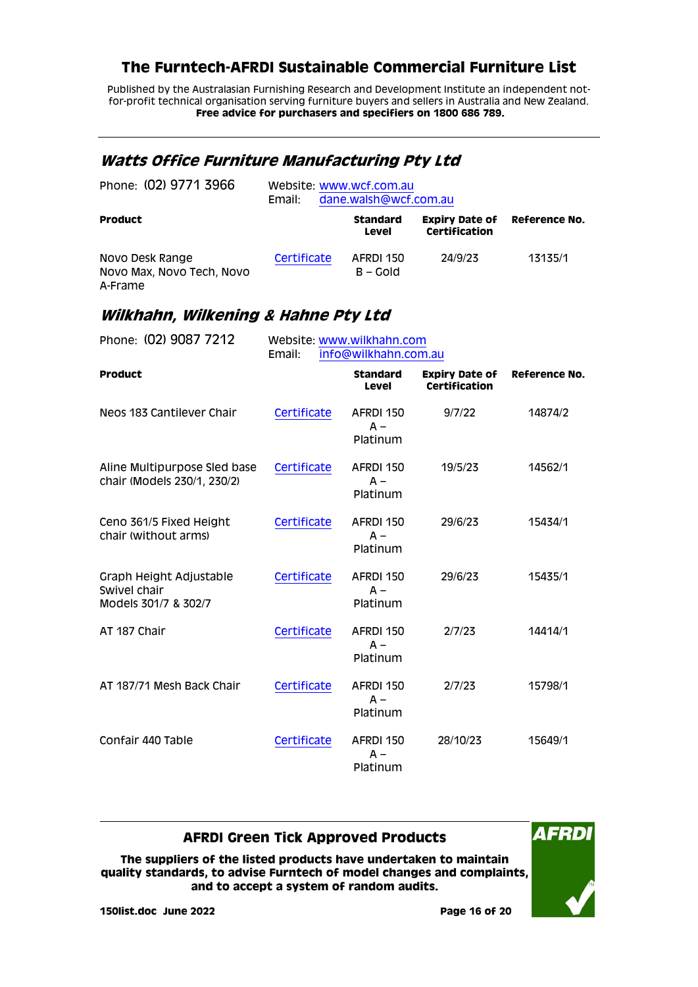Published by the Australasian Furnishing Research and Development Institute an independent notfor-profit technical organisation serving furniture buyers and sellers in Australia and New Zealand. **Free advice for purchasers and specifiers on 1800 686 789.**

### <span id="page-15-0"></span>**Watts Office Furniture Manufacturing Pty Ltd**

| Phone: (02) 9771 3966                                   | Website: www.wcf.com.au<br>dane.walsh@wcf.com.au<br>Email: |                          |                                        |                      |  |
|---------------------------------------------------------|------------------------------------------------------------|--------------------------|----------------------------------------|----------------------|--|
| <b>Product</b>                                          |                                                            | <b>Standard</b><br>Level | <b>Expiry Date of</b><br>Certification | <b>Reference No.</b> |  |
| Novo Desk Range<br>Novo Max, Novo Tech, Novo<br>A-Frame | Certificate                                                | AFRDI 150<br>$B - Gold$  | 24/9/23                                | 13135/1              |  |

### <span id="page-15-1"></span>**Wilkhahn, Wilkening & Hahne Pty Ltd**

| Phone: (02) 9087 7212                                           | Website: www.wilkhahn.com<br>Email:<br>info@wilkhahn.com.au |                                 |                                               |                      |
|-----------------------------------------------------------------|-------------------------------------------------------------|---------------------------------|-----------------------------------------------|----------------------|
| <b>Product</b>                                                  |                                                             | <b>Standard</b><br><b>Level</b> | <b>Expiry Date of</b><br><b>Certification</b> | <b>Reference No.</b> |
| Neos 183 Cantilever Chair                                       | Certificate                                                 | AFRDI 150<br>$A -$<br>Platinum  | 9/7/22                                        | 14874/2              |
| Aline Multipurpose Sled base<br>chair (Models 230/1, 230/2)     | Certificate                                                 | AFRDI 150<br>$A -$<br>Platinum  | 19/5/23                                       | 14562/1              |
| Ceno 361/5 Fixed Height<br>chair (without arms)                 | Certificate                                                 | AFRDI 150<br>$A -$<br>Platinum  | 29/6/23                                       | 15434/1              |
| Graph Height Adjustable<br>Swivel chair<br>Models 301/7 & 302/7 | Certificate                                                 | AFRDI 150<br>$A -$<br>Platinum  | 29/6/23                                       | 15435/1              |
| AT 187 Chair                                                    | Certificate                                                 | AFRDI 150<br>$A -$<br>Platinum  | 2/7/23                                        | 14414/1              |
| AT 187/71 Mesh Back Chair                                       | Certificate                                                 | AFRDI 150<br>$A -$<br>Platinum  | 2/7/23                                        | 15798/1              |
| Confair 440 Table                                               | Certificate                                                 | AFRDI 150<br>$A -$<br>Platinum  | 28/10/23                                      | 15649/1              |

#### **AFRDI Green Tick Approved Products**

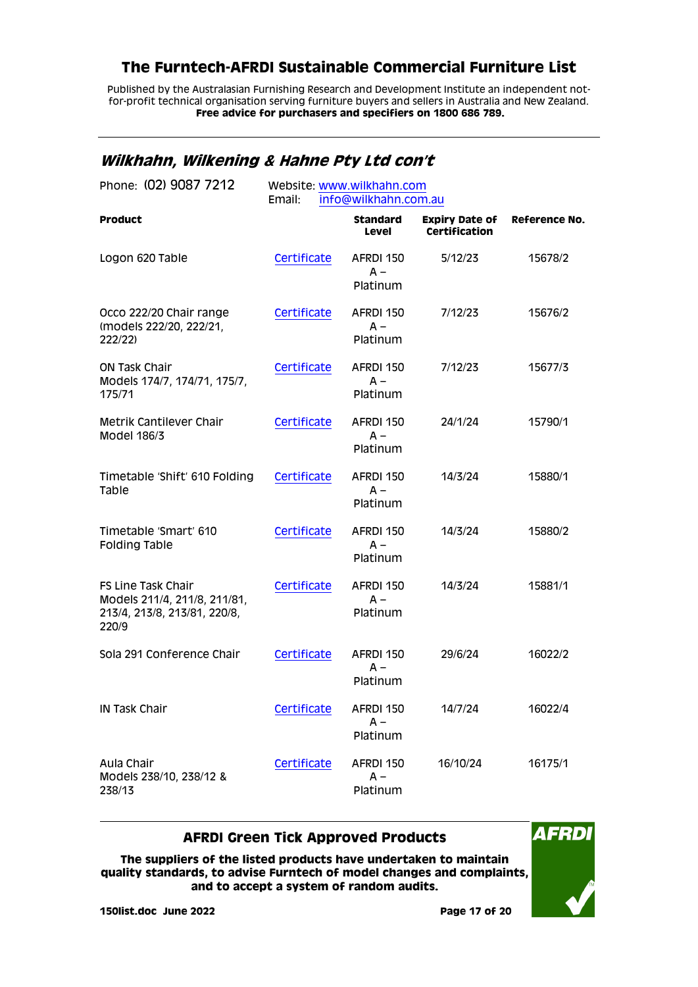Published by the Australasian Furnishing Research and Development Institute an independent notfor-profit technical organisation serving furniture buyers and sellers in Australia and New Zealand. **Free advice for purchasers and specifiers on 1800 686 789.**

## <span id="page-16-0"></span>**Wilkhahn, Wilkening & Hahne Pty Ltd con't**

| Phone: (02) 9087 7212                                                                       | Website: www.wilkhahn.com<br>Email:<br>info@wilkhahn.com.au |                                |                                               |                      |
|---------------------------------------------------------------------------------------------|-------------------------------------------------------------|--------------------------------|-----------------------------------------------|----------------------|
| <b>Product</b>                                                                              |                                                             | <b>Standard</b><br>Level       | <b>Expiry Date of</b><br><b>Certification</b> | <b>Reference No.</b> |
| Logon 620 Table                                                                             | Certificate                                                 | AFRDI 150<br>$A -$<br>Platinum | 5/12/23                                       | 15678/2              |
| Occo 222/20 Chair range<br>(models 222/20, 222/21,<br>222/22)                               | Certificate                                                 | AFRDI 150<br>$A -$<br>Platinum | 7/12/23                                       | 15676/2              |
| <b>ON Task Chair</b><br>Models 174/7, 174/71, 175/7,<br>175/71                              | Certificate                                                 | AFRDI 150<br>$A -$<br>Platinum | 7/12/23                                       | 15677/3              |
| Metrik Cantilever Chair<br>Model 186/3                                                      | Certificate                                                 | AFRDI 150<br>$A -$<br>Platinum | 24/1/24                                       | 15790/1              |
| Timetable 'Shift' 610 Folding<br>Table                                                      | Certificate                                                 | AFRDI 150<br>$A -$<br>Platinum | 14/3/24                                       | 15880/1              |
| Timetable 'Smart' 610<br><b>Folding Table</b>                                               | Certificate                                                 | AFRDI 150<br>$A -$<br>Platinum | 14/3/24                                       | 15880/2              |
| FS Line Task Chair<br>Models 211/4, 211/8, 211/81,<br>213/4, 213/8, 213/81, 220/8,<br>220/9 | Certificate                                                 | AFRDI 150<br>$A -$<br>Platinum | 14/3/24                                       | 15881/1              |
| Sola 291 Conference Chair                                                                   | Certificate                                                 | AFRDI 150<br>A –<br>Platinum   | 29/6/24                                       | 16022/2              |
| IN Task Chair                                                                               | Certificate                                                 | AFRDI 150<br>A –<br>Platinum   | 14/7/24                                       | 16022/4              |
| Aula Chair<br>Models 238/10, 238/12 &<br>238/13                                             | Certificate                                                 | AFRDI 150<br>$A -$<br>Platinum | 16/10/24                                      | 16175/1              |

#### **AFRDI Green Tick Approved Products**

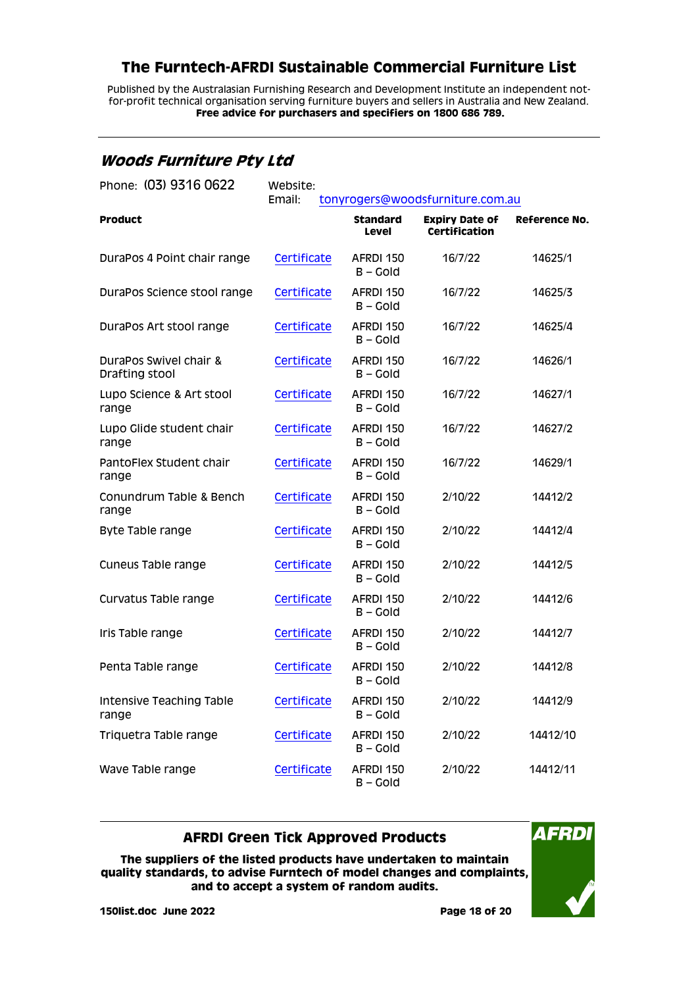Published by the Australasian Furnishing Research and Development Institute an independent notfor-profit technical organisation serving furniture buyers and sellers in Australia and New Zealand. **Free advice for purchasers and specifiers on 1800 686 789.**

### <span id="page-17-0"></span>**Woods Furniture Pty Ltd**

| Phone: (03) 9316 0622                    | Website:<br>Email:<br>tonyrogers@woodsfurniture.com.au |                          |                                        |               |
|------------------------------------------|--------------------------------------------------------|--------------------------|----------------------------------------|---------------|
| <b>Product</b>                           |                                                        | <b>Standard</b><br>Level | <b>Expiry Date of</b><br>Certification | Reference No. |
| DuraPos 4 Point chair range              | Certificate                                            | AFRDI 150<br>B-Gold      | 16/7/22                                | 14625/1       |
| DuraPos Science stool range              | Certificate                                            | AFRDI 150<br>$B - Gold$  | 16/7/22                                | 14625/3       |
| DuraPos Art stool range                  | Certificate                                            | AFRDI 150<br>$B - Gold$  | 16/7/22                                | 14625/4       |
| DuraPos Swivel chair &<br>Drafting stool | Certificate                                            | AFRDI 150<br>$B - GO$    | 16/7/22                                | 14626/1       |
| Lupo Science & Art stool<br>range        | Certificate                                            | AFRDI 150<br>$B - GO$    | 16/7/22                                | 14627/1       |
| Lupo Glide student chair<br>range        | Certificate                                            | AFRDI 150<br>B – Gold    | 16/7/22                                | 14627/2       |
| PantoFlex Student chair<br>range         | Certificate                                            | AFRDI 150<br>$B - Gold$  | 16/7/22                                | 14629/1       |
| Conundrum Table & Bench<br>range         | Certificate                                            | AFRDI 150<br>$B - Gold$  | 2/10/22                                | 14412/2       |
| Byte Table range                         | Certificate                                            | AFRDI 150<br>$B - Gold$  | 2/10/22                                | 14412/4       |
| Cuneus Table range                       | Certificate                                            | AFRDI 150<br>$B -$ Gold  | 2/10/22                                | 14412/5       |
| Curvatus Table range                     | Certificate                                            | AFRDI 150<br>B-Gold      | 2/10/22                                | 14412/6       |
| Iris Table range                         | Certificate                                            | AFRDI 150<br>B-Gold      | 2/10/22                                | 14412/7       |
| Penta Table range                        | Certificate                                            | AFRDI 150<br>$B - Gold$  | 2/10/22                                | 14412/8       |
| Intensive Teaching Table<br>range        | Certificate                                            | AFRDI 150<br>$B -$ Gold  | 2/10/22                                | 14412/9       |
| Triquetra Table range                    | Certificate                                            | AFRDI 150<br>$B - GO$    | 2/10/22                                | 14412/10      |
| Wave Table range                         | Certificate                                            | AFRDI 150<br>B-Gold      | 2/10/22                                | 14412/11      |

#### **AFRDI Green Tick Approved Products**

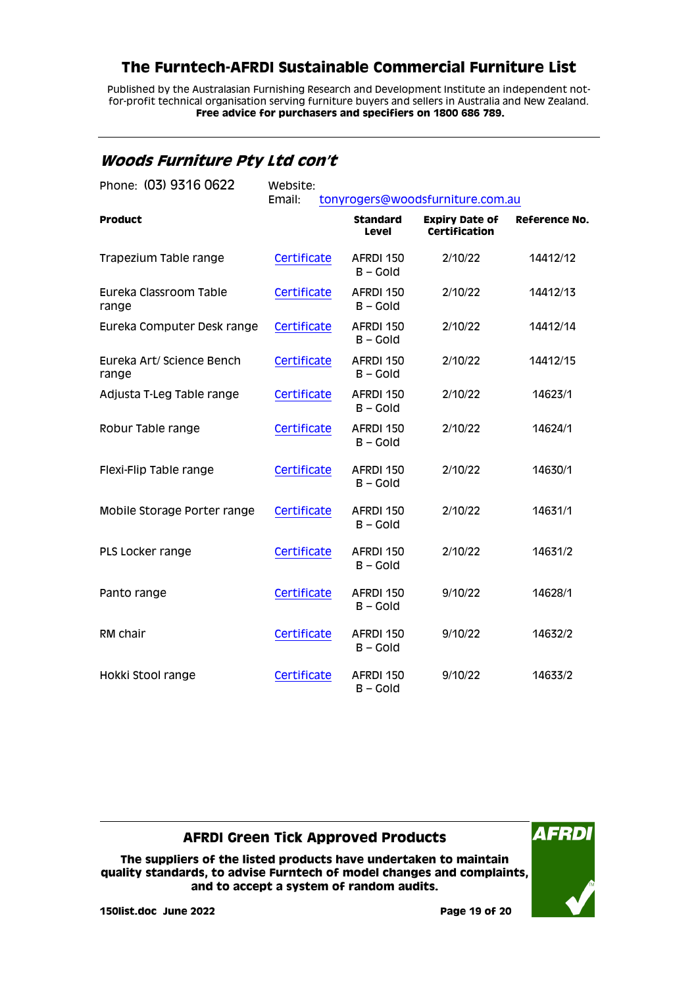Published by the Australasian Furnishing Research and Development Institute an independent notfor-profit technical organisation serving furniture buyers and sellers in Australia and New Zealand. **Free advice for purchasers and specifiers on 1800 686 789.**

### <span id="page-18-0"></span>**Woods Furniture Pty Ltd con't**

| Phone: (03) 9316 0622              | Website:<br>Email:<br>tonyrogers@woodsfurniture.com.au |                         |                                        |                      |
|------------------------------------|--------------------------------------------------------|-------------------------|----------------------------------------|----------------------|
| <b>Product</b>                     |                                                        | Standard<br>Level       | <b>Expiry Date of</b><br>Certification | <b>Reference No.</b> |
| Trapezium Table range              | Certificate                                            | AFRDI 150<br>$B -$ Gold | 2/10/22                                | 14412/12             |
| Eureka Classroom Table<br>range    | Certificate                                            | AFRDI 150<br>$B - Gold$ | 2/10/22                                | 14412/13             |
| Eureka Computer Desk range         | Certificate                                            | AFRDI 150<br>$B -$ Gold | 2/10/22                                | 14412/14             |
| Eureka Art/ Science Bench<br>range | Certificate                                            | AFRDI 150<br>$B - Gold$ | 2/10/22                                | 14412/15             |
| Adjusta T-Leg Table range          | Certificate                                            | AFRDI 150<br>$B - Gold$ | 2/10/22                                | 14623/1              |
| Robur Table range                  | Certificate                                            | AFRDI 150<br>$B - Gold$ | 2/10/22                                | 14624/1              |
| Flexi-Flip Table range             | Certificate                                            | AFRDI 150<br>$B - Gold$ | 2/10/22                                | 14630/1              |
| Mobile Storage Porter range        | Certificate                                            | AFRDI 150<br>$B - Gold$ | 2/10/22                                | 14631/1              |
| PLS Locker range                   | Certificate                                            | AFRDI 150<br>$B - Gold$ | 2/10/22                                | 14631/2              |
| Panto range                        | Certificate                                            | AFRDI 150<br>$B - Gold$ | 9/10/22                                | 14628/1              |
| RM chair                           | Certificate                                            | AFRDI 150<br>$B - Gold$ | 9/10/22                                | 14632/2              |
| Hokki Stool range                  | Certificate                                            | AFRDI 150<br>$B - GO$   | 9/10/22                                | 14633/2              |

### **AFRDI Green Tick Approved Products**